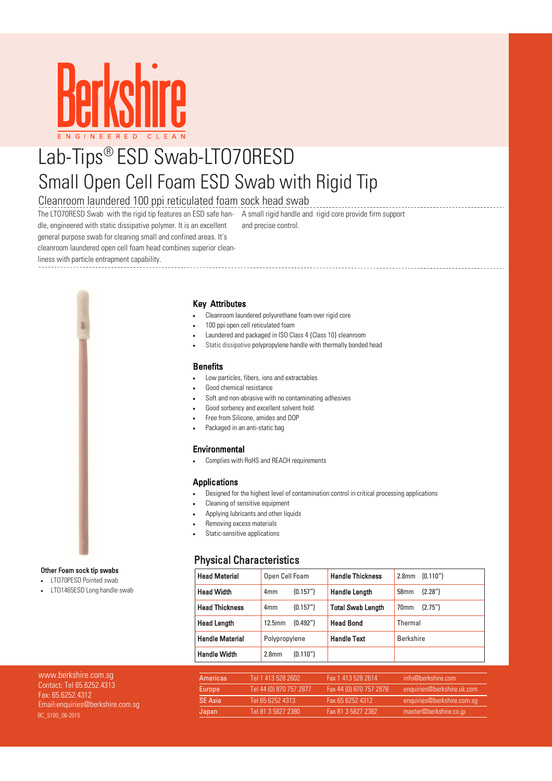

# Lab-Tips® ESD Swab-LTO70RESD Small Open Cell Foam ESD Swab with Rigid Tip

## Cleanroom laundered 100 ppi reticulated foam sock head swab

The LTO70RESD Swab with the rigid tip features an ESD safe han-A small rigid handle and rigid core provide firm support dle, engineered with static dissipative polymer. It is an excellent general purpose swab for cleaning small and confined areas. It's

and precise control.

cleanroom laundered open cell foam head combines superior clean-

liness with particle entrapment capability.



#### Other Foam sock tip swabs

LTO70PESD Pointed swab

LTO1465ESD Long handle swab

#### Key Attributes

- Cleanroom laundered polyurethane foam over rigid core
- 100 ppi open cell reticulated foam
- Laundered and packaged in ISO Class 4 {Class 10} cleanroom
- Static dissipative polypropylene handle with thermally bonded head

#### **Benefits**

- Low particles, fibers, ions and extractables
- Good chemical resistance
- Soft and non-abrasive with no contaminating adhesives
- Good sorbency and excellent solvent hold
- Free from Silicone, amides and DOP
- Packaged in an anti-static bag

#### Environmental

Complies with RoHS and REACH requirements

#### Applications

- Designed for the highest level of contamination control in critical processing applications
- Cleaning of sensitive equipment
- Applying lubricants and other liquids
- Removing excess materials
- Static-sensitive applications

### Physical Characteristics

| <b>Head Material</b>   | Open Cell Foam     |            | <b>Handle Thickness</b>  | ${0.110"}$<br>2.8 <sub>mm</sub> |  |
|------------------------|--------------------|------------|--------------------------|---------------------------------|--|
| <b>Head Width</b>      | 4mm                | ${0.157"}$ | <b>Handle Length</b>     | ${2.28"}$<br>58 <sub>mm</sub>   |  |
| <b>Head Thickness</b>  | 4mm                | ${0.157"}$ | <b>Total Swab Length</b> | ${2.75"}$<br>70 <sub>mm</sub>   |  |
| <b>Head Length</b>     | 12.5 <sub>mm</sub> | ${0.492"}$ | <b>Head Bond</b>         | Thermal                         |  |
| <b>Handle Material</b> | Polypropylene      |            | <b>Handle Text</b>       | <b>Berkshire</b>                |  |
| <b>Handle Width</b>    | 2.8 <sub>mm</sub>  | ${0.110"}$ |                          |                                 |  |

| www.berkshire.com.sq                         | Americas       | Tel 1 413 528 2602      | Fax 1 413 528 2614        | info@berkshire.com         |
|----------------------------------------------|----------------|-------------------------|---------------------------|----------------------------|
| Contact: Tel 65.6252.4313<br>Fax: 6562524312 | Europe         | Tel 44 (0) 870 757 2877 | Fax 44 (0) 870 757 2878 ' | enquiries@berkshire.uk.com |
| Email:enquiries@berkshire.com.sq             | <b>SE Asia</b> | Tel 65 6252 4313        | Fax 65 6252 4312          | enquiries@berkshire.com.sq |
| BC 5100 06-2015                              | Japan          | Tel 81 3 5827 2380      | Fax 81 3 5827 2382        | master@berkshire.co.jp     |
|                                              |                |                         |                           |                            |